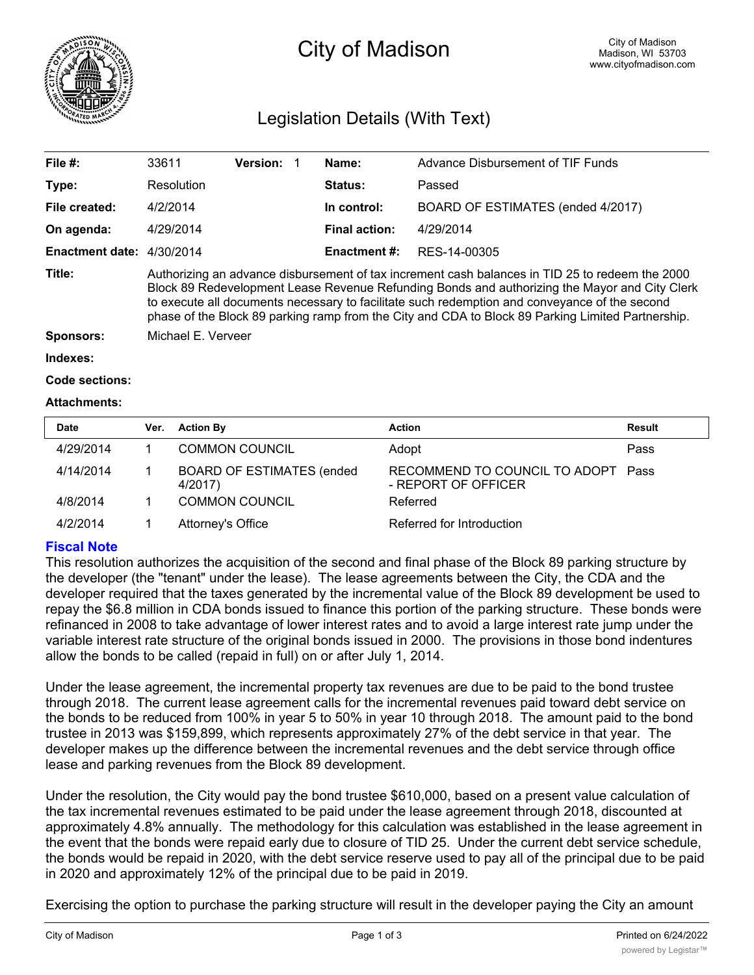

# City of Madison

## Legislation Details (With Text)

| File #:                   | 33611                                                                                                                                                                                                                                                                                                                                                                                                  | <b>Version:</b> |  | Name:                | Advance Disbursement of TIF Funds |  |  |
|---------------------------|--------------------------------------------------------------------------------------------------------------------------------------------------------------------------------------------------------------------------------------------------------------------------------------------------------------------------------------------------------------------------------------------------------|-----------------|--|----------------------|-----------------------------------|--|--|
| Type:                     | Resolution                                                                                                                                                                                                                                                                                                                                                                                             |                 |  | <b>Status:</b>       | Passed                            |  |  |
| File created:             | 4/2/2014                                                                                                                                                                                                                                                                                                                                                                                               |                 |  | In control:          | BOARD OF ESTIMATES (ended 4/2017) |  |  |
| On agenda:                | 4/29/2014                                                                                                                                                                                                                                                                                                                                                                                              |                 |  | <b>Final action:</b> | 4/29/2014                         |  |  |
| Enactment date: 4/30/2014 |                                                                                                                                                                                                                                                                                                                                                                                                        |                 |  | <b>Enactment #:</b>  | RES-14-00305                      |  |  |
| Title:                    | Authorizing an advance disbursement of tax increment cash balances in TID 25 to redeem the 2000<br>Block 89 Redevelopment Lease Revenue Refunding Bonds and authorizing the Mayor and City Clerk<br>to execute all documents necessary to facilitate such redemption and conveyance of the second<br>phase of the Block 89 parking ramp from the City and CDA to Block 89 Parking Limited Partnership. |                 |  |                      |                                   |  |  |
| <b>Sponsors:</b>          | Michael E. Verveer                                                                                                                                                                                                                                                                                                                                                                                     |                 |  |                      |                                   |  |  |
| Indexes:                  |                                                                                                                                                                                                                                                                                                                                                                                                        |                 |  |                      |                                   |  |  |

```
Code sections:
```
#### **Attachments:**

| <b>Date</b> | Ver. | <b>Action By</b>                             | <b>Action</b>                                             | Result |
|-------------|------|----------------------------------------------|-----------------------------------------------------------|--------|
| 4/29/2014   |      | <b>COMMON COUNCIL</b>                        | Adopt                                                     | Pass   |
| 4/14/2014   |      | <b>BOARD OF ESTIMATES (ended)</b><br>4/2017) | RECOMMEND TO COUNCIL TO ADOPT Pass<br>- REPORT OF OFFICER |        |
| 4/8/2014    |      | <b>COMMON COUNCIL</b>                        | Referred                                                  |        |
| 4/2/2014    |      | Attorney's Office                            | Referred for Introduction                                 |        |

#### **Fiscal Note**

This resolution authorizes the acquisition of the second and final phase of the Block 89 parking structure by the developer (the "tenant" under the lease). The lease agreements between the City, the CDA and the developer required that the taxes generated by the incremental value of the Block 89 development be used to repay the \$6.8 million in CDA bonds issued to finance this portion of the parking structure. These bonds were refinanced in 2008 to take advantage of lower interest rates and to avoid a large interest rate jump under the variable interest rate structure of the original bonds issued in 2000. The provisions in those bond indentures allow the bonds to be called (repaid in full) on or after July 1, 2014.

Under the lease agreement, the incremental property tax revenues are due to be paid to the bond trustee through 2018. The current lease agreement calls for the incremental revenues paid toward debt service on the bonds to be reduced from 100% in year 5 to 50% in year 10 through 2018. The amount paid to the bond trustee in 2013 was \$159,899, which represents approximately 27% of the debt service in that year. The developer makes up the difference between the incremental revenues and the debt service through office lease and parking revenues from the Block 89 development.

Under the resolution, the City would pay the bond trustee \$610,000, based on a present value calculation of the tax incremental revenues estimated to be paid under the lease agreement through 2018, discounted at approximately 4.8% annually. The methodology for this calculation was established in the lease agreement in the event that the bonds were repaid early due to closure of TID 25. Under the current debt service schedule, the bonds would be repaid in 2020, with the debt service reserve used to pay all of the principal due to be paid in 2020 and approximately 12% of the principal due to be paid in 2019.

Exercising the option to purchase the parking structure will result in the developer paying the City an amount